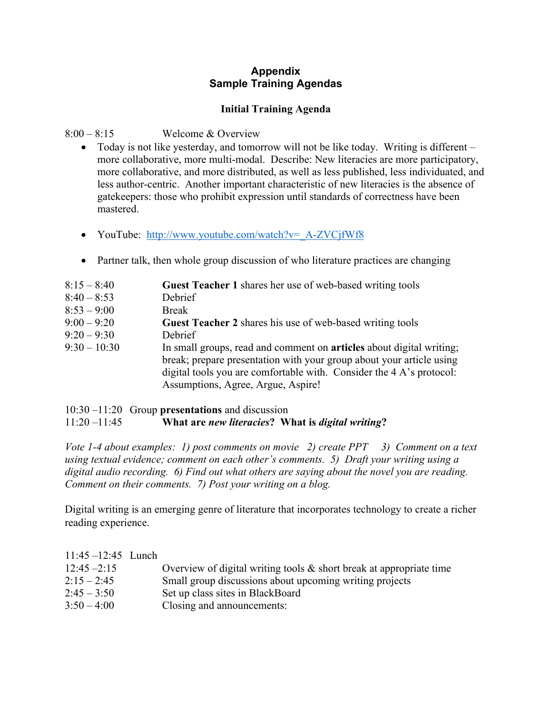# **Appendix Sample Training Agendas**

# **Initial Training Agenda**

# 8:00 – 8:15 Welcome & Overview

- Today is not like yesterday, and tomorrow will not be like today. Writing is different more collaborative, more multi-modal. Describe: New literacies are more participatory, more collaborative, and more distributed, as well as less published, less individuated, and less author-centric. Another important characteristic of new literacies is the absence of gatekeepers: those who prohibit expression until standards of correctness have been mastered.
- YouTube: http://www.youtube.com/watch?v= A-ZVCjfWf8
- Partner talk, then whole group discussion of who literature practices are changing

| $8:15 - 8:40$  | <b>Guest Teacher 1</b> shares her use of web-based writing tools            |
|----------------|-----------------------------------------------------------------------------|
| $8:40 - 8:53$  | Debrief                                                                     |
| $8:53 - 9:00$  | <b>Break</b>                                                                |
| $9:00 - 9:20$  | <b>Guest Teacher 2</b> shares his use of web-based writing tools            |
| $9:20 - 9:30$  | Debrief                                                                     |
| $9:30 - 10:30$ | In small groups, read and comment on <b>articles</b> about digital writing; |
|                | break; prepare presentation with your group about your article using        |
|                | digital tools you are comfortable with. Consider the 4 A's protocol:        |
|                | Assumptions, Agree, Argue, Aspire!                                          |
|                |                                                                             |

## 10:30 –11:20 Group **presentations** and discussion 11:20 –11:45 **What are** *new literacies***? What is** *digital writing***?**

*Vote 1-4 about examples: 1) post comments on movie 2) create PPT 3) Comment on a text using textual evidence; comment on each other's comments. 5) Draft your writing using a digital audio recording. 6) Find out what others are saying about the novel you are reading. Comment on their comments. 7) Post your writing on a blog.* 

Digital writing is an emerging genre of literature that incorporates technology to create a richer reading experience.

| $11:45 - 12:45$ Lunch |                                                                        |
|-----------------------|------------------------------------------------------------------------|
| $12:45 - 2:15$        | Overview of digital writing tools $\&$ short break at appropriate time |
| $2:15 - 2:45$         | Small group discussions about upcoming writing projects                |
| $2:45 - 3:50$         | Set up class sites in BlackBoard                                       |
| $3:50 - 4:00$         | Closing and announcements:                                             |
|                       |                                                                        |